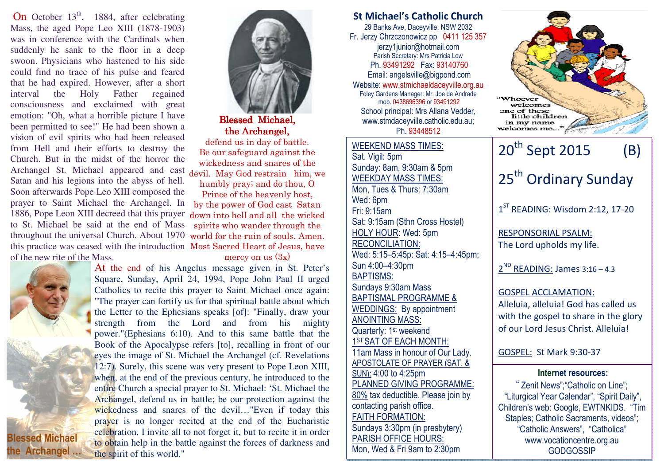throughout the universal Church. About 1970 world for the ruin of souls. Amen. this practice was ceased with the introduction Most Sacred Heart of Jesus, have On October  $13<sup>th</sup>$ , 1884, after celebrating Mass, the aged Pope Leo XIII (1878-1903) was in conference with the Cardinals when suddenly he sank to the floor in a deep swoon. Physicians who hastened to his side could find no trace of his pulse and feared that he had expired. However, after a short interval the Holy Father regained consciousness and exclaimed with great emotion: "Oh, what a horrible picture I have been permitted to see!" He had been shown a vision of evil spirits who had been released from Hell and their efforts to destroy the Church. But in the midst of the horror the Archangel St. Michael appeared and cast Satan and his legions into the abyss of hell. Soon afterwards Pope Leo XIII composed the prayer to Saint Michael the Archangel. In 1886, Pope Leon XIII decreed that this prayer to St. Michael be said at the end of Mass of the new rite of the Mass.





Blessed Blessed Michael, the Archangel.

 defend us in day of battle. Be our safeguard against the wickedness and snares of the devil. May God restrain him, we humbly pray; and do thou, O Prince of the heavenly host, by the power of God cast Satan down into hell and all the wicked spirits who wander through the

mercy on us  $(3x)$ 

 At the end of his Angelus message given in St. Peter's Square, Sunday, April 24, 1994, Pope John Paul II urged Catholics to recite this prayer to Saint Michael once again: "The prayer can fortify us for that spiritual battle about which the Letter to the Ephesians speaks [of]: "Finally, draw your strength from the Lord and from his mighty power."(Ephesians 6:10). And to this same battle that the Book of the Apocalypse refers [to], recalling in front of our eyes the image of St. Michael the Archangel (cf. Revelations 12:7). Surely, this scene was very present to Pope Leon XIII, when, at the end of the previous century, he introduced to the entire Church a special prayer to St. Michael: 'St. Michael the Archangel, defend us in battle; be our protection against the wickedness and snares of the devil…"Even if today this prayer is no longer recited at the end of the Eucharistic celebration, I invite all to not forget it, but to recite it in order to obtain help in the battle against the forces of darkness and the spirit of this world."

## St Michael's Catholic Church 29 Banks Ave, Daceyville, NSW 2032 Fr. Jerzy Chrzczonowicz pp 0411 125 357 jerzy1junior@hotmail.com Parish Secretary: Mrs Patricia Low Ph. 93491292 Fax: 93140760 Email: angelsville@bigpond.com Website: www.stmichaeldaceyville.org.au Foley Gardens Manager: Mr. Joe de Andrade mob. 0438696396 or 93491292welcomes one of these School principal: Mrs Allana Vedder, little children www.stmdaceyville.catholic.edu.au; in my name welcomes me. Ph. 93448512WEEKEND MASS TIMES:20<sup>th</sup> Sept 2015 (B) Sat. Vigil: 5pm Sunday: 8am, 9:30am & 5pm 25<sup>th</sup> Ordinary Sunday WEEKDAY MASS TIMES: Mon, Tues & Thurs: 7:30am Wed: 6pm  $1<sup>ST</sup>$  READING: Wisdom 2:12, 17-20 Fri: 9:15am Sat: 9:15am (Sthn Cross Hostel) HOLY HOUR: Wed: 5pm RESPONSORIAL PSALM: RECONCILIATION: The Lord upholds my life. Wed: 5:15–5:45p: Sat: 4:15–4:45pm; Sun 4:00–4:30pm  $2^{ND}$  READING: James 3:16 - 4.3 BAPTISMS: Sundays 9:30am Mass GOSPEL ACCLAMATION: BAPTISMAL PROGRAMME & Alleluia, alleluia! God has called us WEDDINGS: By appointment with the gospel to share in the glory ANOINTING MASS: of our Lord Jesus Christ. Alleluia! Quarterly: 1<sup>st</sup> weekend 1<sup>ST</sup> SAT OF EACH MONTH: 11am Mass in honour of Our Lady. GOSPEL: St Mark 9:30-37APOSTOLATE OF PRAYER (SAT. & SUN): 4:00 to 4:25pmInternet resources: PLANNED GIVING PROGRAMME: " Zenit News";"Catholic on Line"; 80% tax deductible. Please join by "Liturgical Year Calendar", "Spirit Daily", contacting parish office. Children's web: Google, EWTNKIDS. "Tim FAITH FORMATION: Staples; Catholic Sacraments, videos"; Sundays 3:30pm (in presbytery) "Catholic Answers", "Catholica" PARISH OFFICE HOURS: www.vocationcentre.org.au Mon, Wed & Fri 9am to 2:30pm **GODGOSSIP**